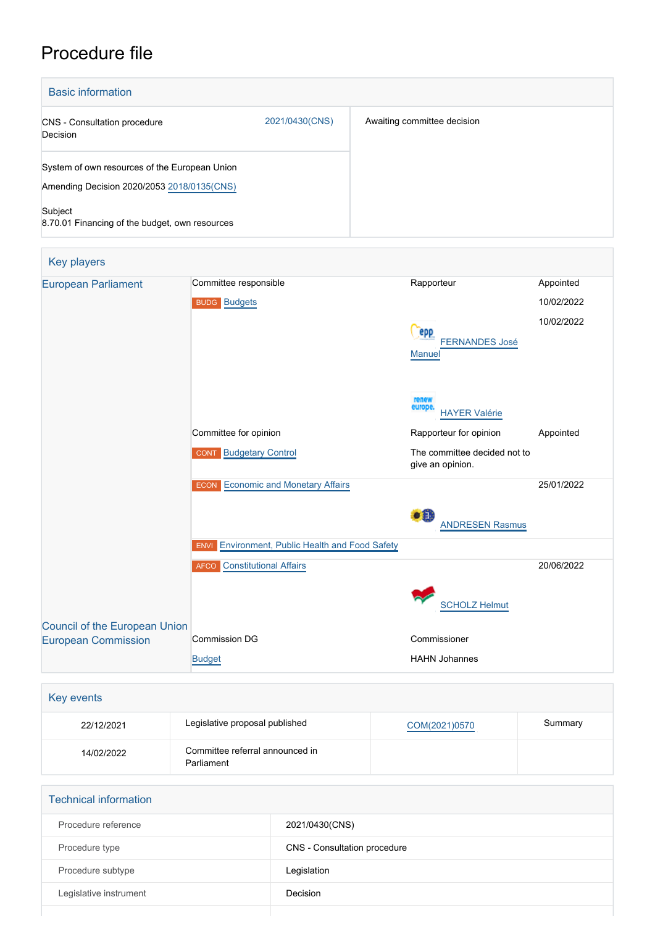## Procedure file

| <b>Basic information</b>                              |                |                             |
|-------------------------------------------------------|----------------|-----------------------------|
| <b>CNS</b> - Consultation procedure<br>Decision       | 2021/0430(CNS) | Awaiting committee decision |
| System of own resources of the European Union         |                |                             |
| Amending Decision 2020/2053 2018/0135(CNS)<br>Subject |                |                             |
| 8.70.01 Financing of the budget, own resources        |                |                             |
| <b>Key players</b>                                    |                |                             |

| <b>European Parliament</b>    | Committee responsible                                     | Rapporteur                                       | Appointed  |
|-------------------------------|-----------------------------------------------------------|--------------------------------------------------|------------|
|                               | <b>BUDG</b> Budgets                                       |                                                  | 10/02/2022 |
|                               |                                                           | epp<br><b>FERNANDES José</b><br><b>Manuel</b>    | 10/02/2022 |
|                               |                                                           | renew<br>europe<br><b>HAYER Valérie</b>          |            |
|                               | Committee for opinion                                     | Rapporteur for opinion                           | Appointed  |
|                               | <b>Budgetary Control</b><br><b>CONT</b>                   | The committee decided not to<br>give an opinion. |            |
|                               | <b>Economic and Monetary Affairs</b><br><b>ECON</b>       |                                                  | 25/01/2022 |
|                               |                                                           | $\bullet$ iii<br><b>ANDRESEN Rasmus</b>          |            |
|                               | Environment, Public Health and Food Safety<br><b>ENVI</b> |                                                  |            |
|                               | <b>AFCO</b> Constitutional Affairs                        |                                                  | 20/06/2022 |
|                               |                                                           | <b>SCHOLZ Helmut</b>                             |            |
| Council of the European Union | <b>Commission DG</b>                                      | Commissioner                                     |            |
| <b>European Commission</b>    |                                                           |                                                  |            |
|                               | <b>Budget</b>                                             | <b>HAHN Johannes</b>                             |            |

| Key events |                                               |               |         |
|------------|-----------------------------------------------|---------------|---------|
| 22/12/2021 | Legislative proposal published                | COM(2021)0570 | Summary |
| 14/02/2022 | Committee referral announced in<br>Parliament |               |         |

| <b>Technical information</b> |                              |  |  |
|------------------------------|------------------------------|--|--|
| Procedure reference          | 2021/0430(CNS)               |  |  |
| Procedure type               | CNS - Consultation procedure |  |  |
| Procedure subtype            | Legislation                  |  |  |
| Legislative instrument       | Decision                     |  |  |
|                              |                              |  |  |